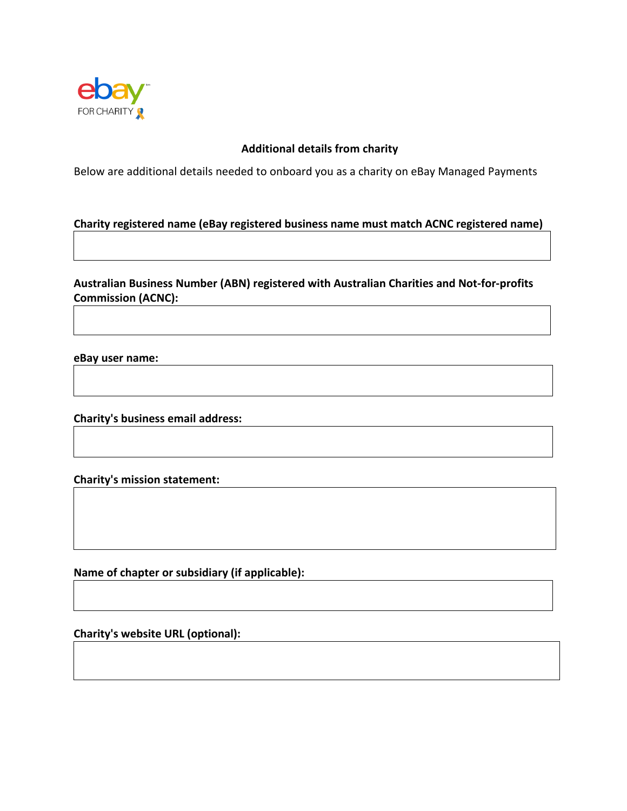

## **Additional details from charity**

Below are additional details needed to onboard you as a charity on eBay Managed Payments

#### **Charity registered name (eBay registered business name must match ACNC registered name)**

**Australian Business Number (ABN) registered with Australian Charities and Not-for-profits Commission (ACNC):** 

**eBay user name:**

**Charity's business email address:** 

**Charity's mission statement:** 

**Name of chapter or subsidiary (if applicable):** 

**Charity's website URL (optional):**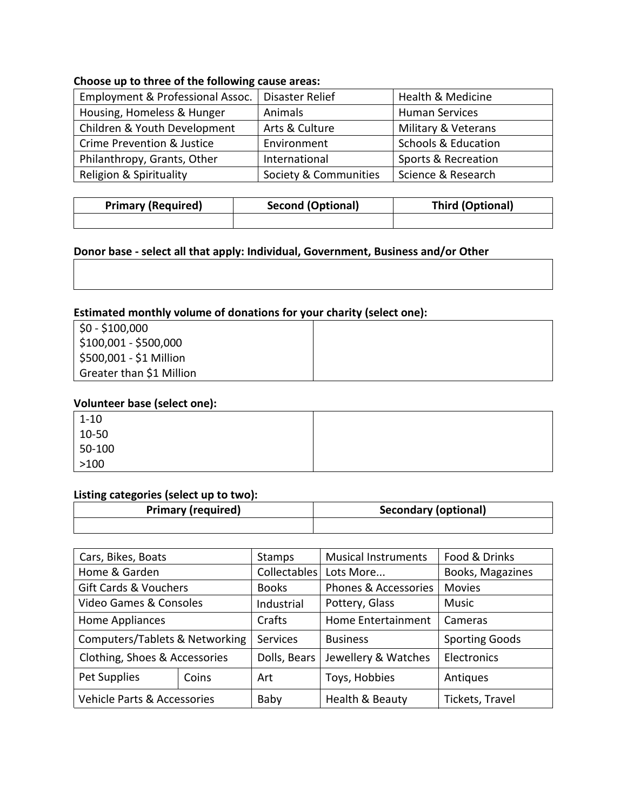# **Choose up to three of the following cause areas:**

| Employment & Professional Assoc.      | Disaster Relief       | Health & Medicine              |
|---------------------------------------|-----------------------|--------------------------------|
| Housing, Homeless & Hunger            | Animals               | <b>Human Services</b>          |
| Children & Youth Development          | Arts & Culture        | Military & Veterans            |
| <b>Crime Prevention &amp; Justice</b> | Environment           | <b>Schools &amp; Education</b> |
| Philanthropy, Grants, Other           | International         | Sports & Recreation            |
| Religion & Spirituality               | Society & Communities | Science & Research             |

| <b>Primary (Required)</b> | <b>Second (Optional)</b> | Third (Optional) |  |
|---------------------------|--------------------------|------------------|--|
|                           |                          |                  |  |

## **Donor base - select all that apply: Individual, Government, Business and/or Other**

# **Estimated monthly volume of donations for your charity (select one):**

| \$0 - \$100,000                  |  |
|----------------------------------|--|
| $\frac{15100,001 - $500,000}{0}$ |  |
| \$500,001 - \$1 Million          |  |
| Greater than \$1 Million         |  |

### **Volunteer base (select one):**

| $1 - 10$ |  |
|----------|--|
| 10-50    |  |
| 50-100   |  |
| $>100$   |  |

#### **Listing categories (select up to two):**

| <b>Primary (required)</b> | Secondary (optional) |  |
|---------------------------|----------------------|--|
|                           |                      |  |

| Cars, Bikes, Boats                        |       | Stamps          | <b>Musical Instruments</b>      | Food & Drinks         |
|-------------------------------------------|-------|-----------------|---------------------------------|-----------------------|
| Home & Garden                             |       | Collectables    | Lots More                       | Books, Magazines      |
| <b>Gift Cards &amp; Vouchers</b>          |       | <b>Books</b>    | <b>Phones &amp; Accessories</b> | <b>Movies</b>         |
| Video Games & Consoles                    |       | Industrial      | Pottery, Glass                  | <b>Music</b>          |
| Home Appliances                           |       | Crafts          | <b>Home Entertainment</b>       | Cameras               |
| <b>Computers/Tablets &amp; Networking</b> |       | <b>Services</b> | <b>Business</b>                 | <b>Sporting Goods</b> |
| Clothing, Shoes & Accessories             |       | Dolls, Bears    | Jewellery & Watches             | Electronics           |
| Pet Supplies                              | Coins | Art             | Toys, Hobbies                   | Antiques              |
| Vehicle Parts & Accessories               |       | Baby            | Health & Beauty                 | Tickets, Travel       |